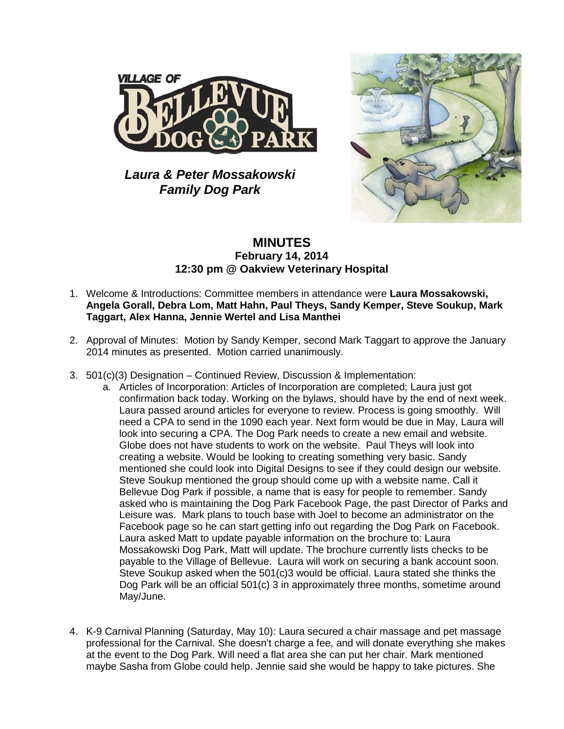

*Laura & Peter Mossakowski Family Dog Park*



## **MINUTES February 14, 2014 12:30 pm @ Oakview Veterinary Hospital**

- 1. Welcome & Introductions: Committee members in attendance were **Laura Mossakowski, Angela Gorall, Debra Lom, Matt Hahn, Paul Theys, Sandy Kemper, Steve Soukup, Mark Taggart, Alex Hanna, Jennie Wertel and Lisa Manthei**
- 2. Approval of Minutes: Motion by Sandy Kemper, second Mark Taggart to approve the January 2014 minutes as presented. Motion carried unanimously.
- 3. 501(c)(3) Designation Continued Review, Discussion & Implementation:
	- a. Articles of Incorporation: Articles of Incorporation are completed; Laura just got confirmation back today. Working on the bylaws, should have by the end of next week. Laura passed around articles for everyone to review. Process is going smoothly. Will need a CPA to send in the 1090 each year. Next form would be due in May, Laura will look into securing a CPA. The Dog Park needs to create a new email and website. Globe does not have students to work on the website. Paul Theys will look into creating a website. Would be looking to creating something very basic. Sandy mentioned she could look into Digital Designs to see if they could design our website. Steve Soukup mentioned the group should come up with a website name. Call it Bellevue Dog Park if possible, a name that is easy for people to remember. Sandy asked who is maintaining the Dog Park Facebook Page, the past Director of Parks and Leisure was. Mark plans to touch base with Joel to become an administrator on the Facebook page so he can start getting info out regarding the Dog Park on Facebook. Laura asked Matt to update payable information on the brochure to: Laura Mossakowski Dog Park, Matt will update. The brochure currently lists checks to be payable to the Village of Bellevue. Laura will work on securing a bank account soon. Steve Soukup asked when the 501(c)3 would be official. Laura stated she thinks the Dog Park will be an official 501(c) 3 in approximately three months, sometime around May/June.
- 4. K-9 Carnival Planning (Saturday, May 10): Laura secured a chair massage and pet massage professional for the Carnival. She doesn't charge a fee, and will donate everything she makes at the event to the Dog Park. Will need a flat area she can put her chair. Mark mentioned maybe Sasha from Globe could help. Jennie said she would be happy to take pictures. She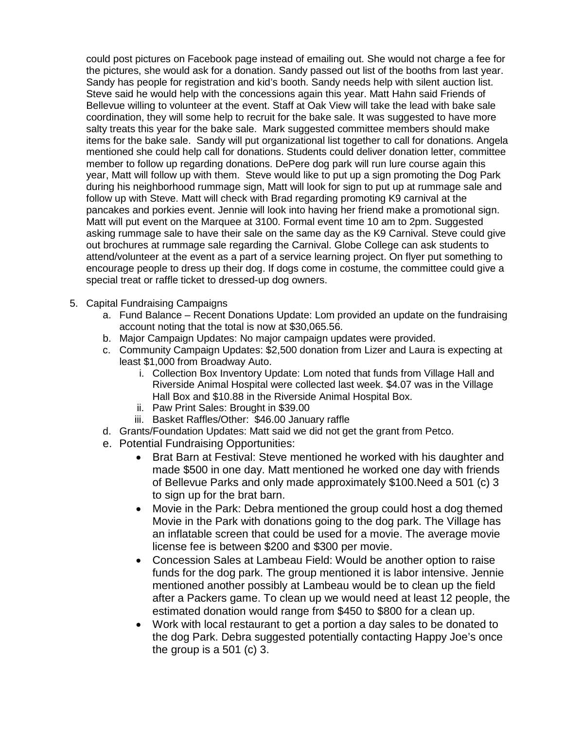could post pictures on Facebook page instead of emailing out. She would not charge a fee for the pictures, she would ask for a donation. Sandy passed out list of the booths from last year. Sandy has people for registration and kid's booth. Sandy needs help with silent auction list. Steve said he would help with the concessions again this year. Matt Hahn said Friends of Bellevue willing to volunteer at the event. Staff at Oak View will take the lead with bake sale coordination, they will some help to recruit for the bake sale. It was suggested to have more salty treats this year for the bake sale. Mark suggested committee members should make items for the bake sale. Sandy will put organizational list together to call for donations. Angela mentioned she could help call for donations. Students could deliver donation letter, committee member to follow up regarding donations. DePere dog park will run lure course again this year, Matt will follow up with them. Steve would like to put up a sign promoting the Dog Park during his neighborhood rummage sign, Matt will look for sign to put up at rummage sale and follow up with Steve. Matt will check with Brad regarding promoting K9 carnival at the pancakes and porkies event. Jennie will look into having her friend make a promotional sign. Matt will put event on the Marquee at 3100. Formal event time 10 am to 2pm. Suggested asking rummage sale to have their sale on the same day as the K9 Carnival. Steve could give out brochures at rummage sale regarding the Carnival. Globe College can ask students to attend/volunteer at the event as a part of a service learning project. On flyer put something to encourage people to dress up their dog. If dogs come in costume, the committee could give a special treat or raffle ticket to dressed-up dog owners.

- 5. Capital Fundraising Campaigns
	- a. Fund Balance Recent Donations Update: Lom provided an update on the fundraising account noting that the total is now at \$30,065.56.
	- b. Major Campaign Updates: No major campaign updates were provided.
	- c. Community Campaign Updates: \$2,500 donation from Lizer and Laura is expecting at least \$1,000 from Broadway Auto.
		- i. Collection Box Inventory Update: Lom noted that funds from Village Hall and Riverside Animal Hospital were collected last week. \$4.07 was in the Village Hall Box and \$10.88 in the Riverside Animal Hospital Box.
		- ii. Paw Print Sales: Brought in \$39.00
		- iii. Basket Raffles/Other: \$46.00 January raffle
	- d. Grants/Foundation Updates: Matt said we did not get the grant from Petco.
	- e. Potential Fundraising Opportunities:
		- Brat Barn at Festival: Steve mentioned he worked with his daughter and made \$500 in one day. Matt mentioned he worked one day with friends of Bellevue Parks and only made approximately \$100.Need a 501 (c) 3 to sign up for the brat barn.
		- Movie in the Park: Debra mentioned the group could host a dog themed Movie in the Park with donations going to the dog park. The Village has an inflatable screen that could be used for a movie. The average movie license fee is between \$200 and \$300 per movie.
		- Concession Sales at Lambeau Field: Would be another option to raise funds for the dog park. The group mentioned it is labor intensive. Jennie mentioned another possibly at Lambeau would be to clean up the field after a Packers game. To clean up we would need at least 12 people, the estimated donation would range from \$450 to \$800 for a clean up.
		- Work with local restaurant to get a portion a day sales to be donated to the dog Park. Debra suggested potentially contacting Happy Joe's once the group is a 501 (c) 3.